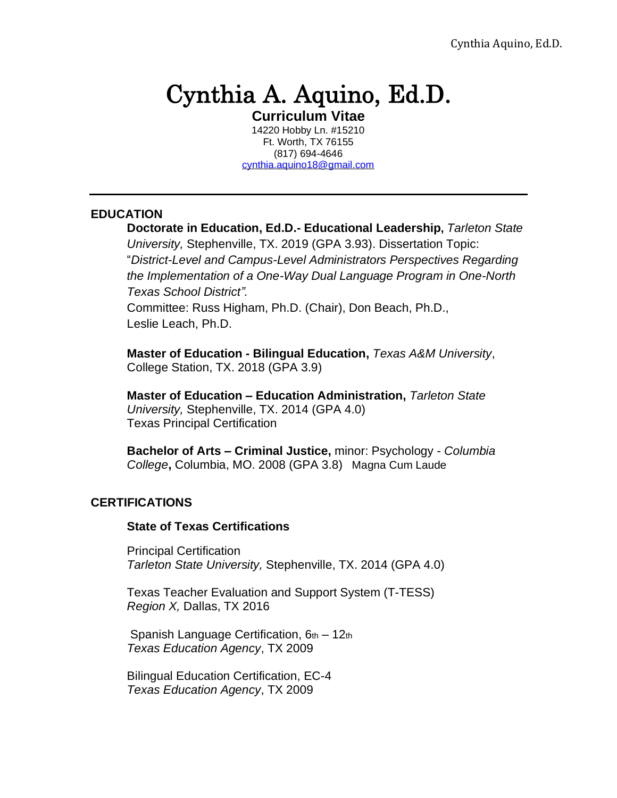# Cynthia A. Aquino, Ed.D.

**Curriculum Vitae** 14220 Hobby Ln. #15210 Ft. Worth, TX 76155 (817) 694-4646 [cynthia.aquino18@gmail.com](mailto:cynthia.aquino18@gmail.com)

#### **EDUCATION**

**Doctorate in Education, Ed.D.- Educational Leadership,** *Tarleton State University,* Stephenville, TX. 2019 (GPA 3.93). Dissertation Topic: "*District-Level and Campus-Level Administrators Perspectives Regarding the Implementation of a One-Way Dual Language Program in One-North Texas School District".*

Committee: Russ Higham, Ph.D. (Chair), Don Beach, Ph.D., Leslie Leach, Ph.D.

**Master of Education - Bilingual Education,** *Texas A&M University*, College Station, TX. 2018 (GPA 3.9)

**Master of Education – Education Administration,** *Tarleton State University,* Stephenville, TX. 2014 (GPA 4.0) Texas Principal Certification

**Bachelor of Arts – Criminal Justice,** minor: Psychology - *Columbia College***,** Columbia, MO. 2008 (GPA 3.8) Magna Cum Laude

### **CERTIFICATIONS**

#### **State of Texas Certifications**

Principal Certification *Tarleton State University,* Stephenville, TX. 2014 (GPA 4.0)

Texas Teacher Evaluation and Support System (T-TESS) *Region X,* Dallas, TX 2016

Spanish Language Certification,  $6<sub>th</sub> - 12<sub>th</sub>$ *Texas Education Agency*, TX 2009

Bilingual Education Certification, EC-4 *Texas Education Agency*, TX 2009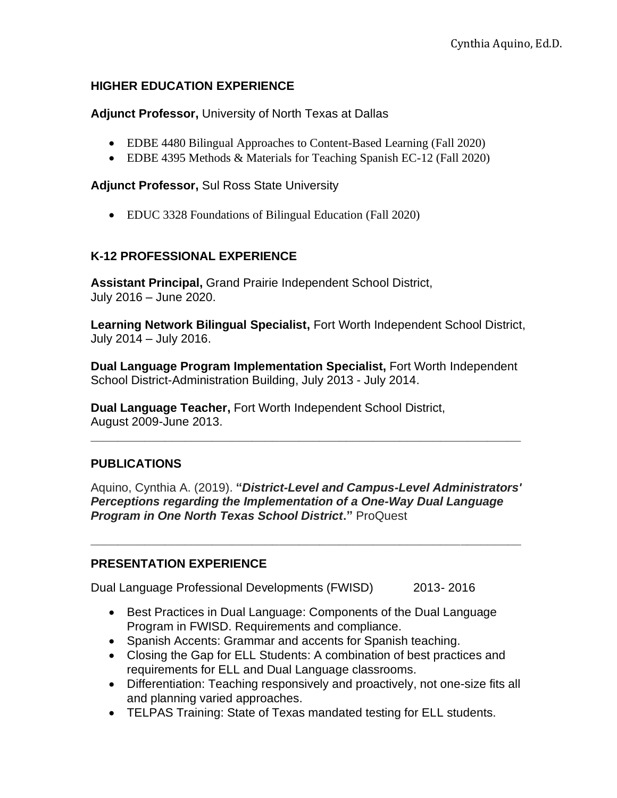## **HIGHER EDUCATION EXPERIENCE**

**Adjunct Professor,** University of North Texas at Dallas

- EDBE 4480 Bilingual Approaches to Content-Based Learning (Fall 2020)
- EDBE 4395 Methods & Materials for Teaching Spanish EC-12 (Fall 2020)

**Adjunct Professor,** Sul Ross State University

• EDUC 3328 Foundations of Bilingual Education (Fall 2020)

# **K-12 PROFESSIONAL EXPERIENCE**

**Assistant Principal,** Grand Prairie Independent School District, July 2016 – June 2020.

**Learning Network Bilingual Specialist,** Fort Worth Independent School District, July 2014 – July 2016.

**Dual Language Program Implementation Specialist,** Fort Worth Independent School District-Administration Building, July 2013 - July 2014.

**\_\_\_\_\_\_\_\_\_\_\_\_\_\_\_\_\_\_\_\_\_\_\_\_\_\_\_\_\_\_\_\_\_\_\_\_\_\_\_\_\_\_\_\_\_\_\_\_\_\_\_\_\_\_\_\_\_\_\_\_\_\_\_\_**

**Dual Language Teacher,** Fort Worth Independent School District, August 2009-June 2013.

# **PUBLICATIONS**

Aquino, Cynthia A. (2019). **"***District-Level and Campus-Level Administrators' Perceptions regarding the Implementation of a One-Way Dual Language Program in One North Texas School District***."** ProQuest

**\_\_\_\_\_\_\_\_\_\_\_\_\_\_\_\_\_\_\_\_\_\_\_\_\_\_\_\_\_\_\_\_\_\_\_\_\_\_\_\_\_\_\_\_\_\_\_\_\_\_\_\_\_\_\_\_\_\_\_\_\_\_\_\_**

# **PRESENTATION EXPERIENCE**

Dual Language Professional Developments (FWISD) 2013- 2016

- Best Practices in Dual Language: Components of the Dual Language Program in FWISD. Requirements and compliance.
- Spanish Accents: Grammar and accents for Spanish teaching.
- Closing the Gap for ELL Students: A combination of best practices and requirements for ELL and Dual Language classrooms.
- Differentiation: Teaching responsively and proactively, not one-size fits all and planning varied approaches.
- TELPAS Training: State of Texas mandated testing for ELL students.